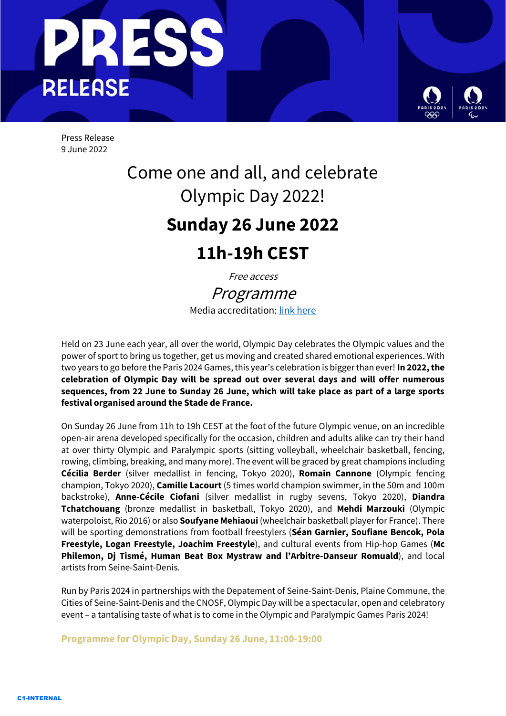

Press Release 9 June 2022

# Come one and all, and celebrate Olympic Day 2022!

# **Sunday 26 June 2022**

# **11h-19h CEST**

Free access

Programme Media accreditation: link here

Held on 23 June each year, all over the world, Olympic Day celebrates the Olympic values and the power of sport to bring us together, get us moving and created shared emotional experiences. With two years to go before the Paris 2024 Games, this year's celebration is bigger than ever! **In 2022, the celebration of Olympic Day will be spread out over several days and will offer numerous sequences, from 22 June to Sunday 26 June, which will take place as part of a large sports festival organised around the Stade de France.**

On Sunday 26 June from 11h to 19h CEST at the foot of the future Olympic venue, on an incredible open-air arena developed specifically for the occasion, children and adults alike can try their hand at over thirty Olympic and Paralympic sports (sitting volleyball, wheelchair basketball, fencing, rowing, climbing, breaking, and many more). The event will be graced by great champions including **Cécilia Berder** (silver medallist in fencing, Tokyo 2020), **Romain Cannone** (Olympic fencing champion, Tokyo 2020), **Camille Lacourt** (5 times world champion swimmer, in the 50m and 100m backstroke), **Anne-Cécile Ciofani** (silver medallist in rugby sevens, Tokyo 2020), **Diandra Tchatchouang** (bronze medallist in basketball, Tokyo 2020), and **Mehdi Marzouki** (Olympic waterpoloist, Rio 2016) or also **Soufyane Mehiaoui** (wheelchair basketball player for France). There will be sporting demonstrations from football freestylers (**Séan Garnier, Soufiane Bencok, Pola Freestyle, Logan Freestyle, Joachim Freestyle**), and cultural events from Hip-hop Games (**Mc Philemon, Dj Tismé, Human Beat Box Mystraw and l'Arbitre-Danseur Romuald**), and local artists from Seine-Saint-Denis.

Run by Paris 2024 in partnerships with the Depatement of Seine-Saint-Denis, Plaine Commune, the Cities of Seine-Saint-Denis and the CNOSF, Olympic Day will be a spectacular, open and celebratory event – a tantalising taste of what is to come in the Olympic and Paralympic Games Paris 2024!

**Programme for Olympic Day, Sunday 26 June, 11:00-19:00**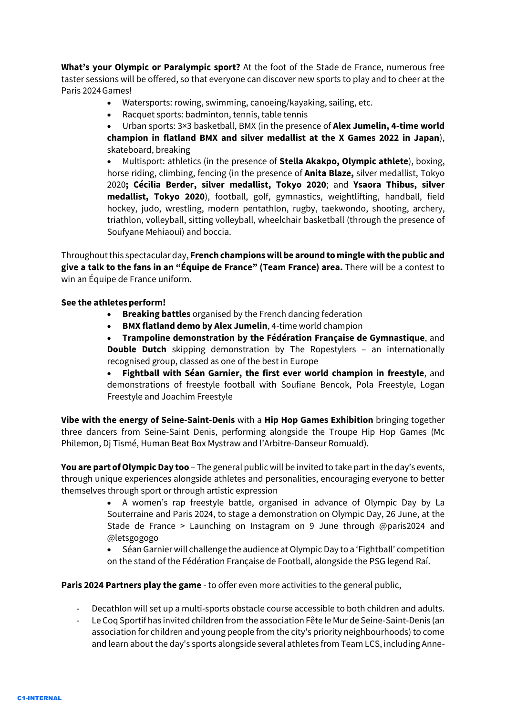**What's your Olympic or Paralympic sport?** At the foot of the Stade de France, numerous free taster sessions will be offered, so that everyone can discover new sports to play and to cheer at the Paris 2024Games!

- Watersports: rowing, swimming, canoeing/kayaking, sailing, etc.
- Racquet sports: badminton, tennis, table tennis

• Urban sports: 3×3 basketball, BMX (in the presence of **Alex Jumelin, 4-time world champion in flatland BMX and silver medallist at the X Games 2022 in Japan**), skateboard, breaking

• Multisport: athletics (in the presence of **Stella Akakpo, Olympic athlete**), boxing, horse riding, climbing, fencing (in the presence of **Anita Blaze,** silver medallist, Tokyo 2020**; Cécilia Berder, silver medallist, Tokyo 2020**; and **Ysaora Thibus, silver medallist, Tokyo 2020**), football, golf, gymnastics, weightlifting, handball, field hockey, judo, wrestling, modern pentathlon, rugby, taekwondo, shooting, archery, triathlon, volleyball, sitting volleyball, wheelchair basketball (through the presence of Soufyane Mehiaoui) and boccia.

Throughout this spectacular day, **French champions will be around to mingle with the public and give a talk to the fans in an "Équipe de France" (Team France) area.** There will be a contest to win an Équipe de France uniform.

## **See the athletesperform!**

- **Breaking battles** organised by the French dancing federation
- **BMX flatland demo by Alex Jumelin**, 4-time world champion

• **Trampoline demonstration by the Fédération Française de Gymnastique**, and **Double Dutch** skipping demonstration by The Ropestylers – an internationally recognised group, classed as one of the best in Europe

• **Fightball with Séan Garnier, the first ever world champion in freestyle**, and demonstrations of freestyle football with Soufiane Bencok, Pola Freestyle, Logan Freestyle and Joachim Freestyle

**Vibe with the energy of Seine-Saint-Denis** with a **Hip Hop Games Exhibition** bringing together three dancers from Seine-Saint Denis, performing alongside the Troupe Hip Hop Games (Mc Philemon, Dj Tismé, Human Beat Box Mystraw and l'Arbitre-Danseur Romuald).

**You are part of Olympic Day too** – The general public will be invited to take part in the day's events, through unique experiences alongside athletes and personalities, encouraging everyone to better themselves through sport or through artistic expression

> • A women's rap freestyle battle, organised in advance of Olympic Day by La Souterraine and Paris 2024, to stage a demonstration on Olympic Day, 26 June, at the Stade de France > Launching on Instagram on 9 June through @paris2024 and @letsgogogo

> • Séan Garnier will challenge the audience at Olympic Day to a 'Fightball' competition on the stand of the Fédération Française de Football, alongside the PSG legend Raí.

**Paris 2024 Partners play the game** - to offer even more activities to the general public,

- Decathlon will set up a multi-sports obstacle course accessible to both children and adults.
- Le Coq Sportif has invited children from the association Fête le Mur de Seine-Saint-Denis (an association for children and young people from the city's priority neighbourhoods) to come and learn about the day's sports alongside several athletes from Team LCS, including Anne-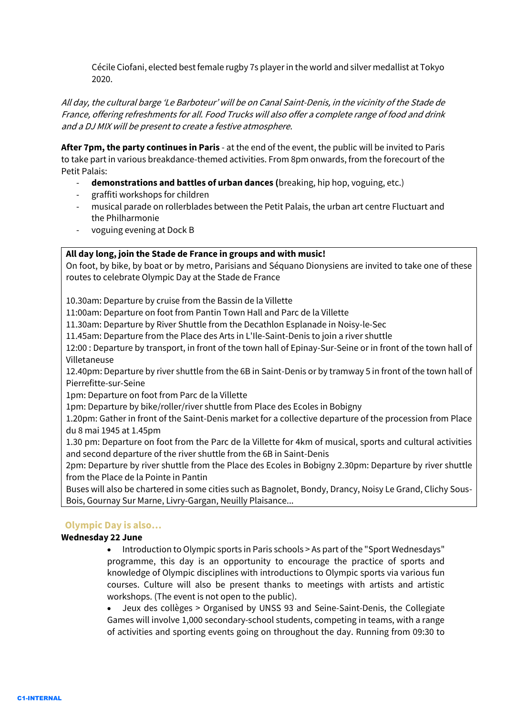Cécile Ciofani, elected best female rugby 7s player in the world and silver medallist at Tokyo 2020.

All day, the cultural barge 'Le Barboteur' will be on Canal Saint-Denis, in the vicinity of the Stade de France, offering refreshments for all. Food Trucks will also offer a complete range of food and drink and a DJ MIX will be present to create a festive atmosphere.

**After 7pm, the party continues in Paris** - at the end of the event, the public will be invited to Paris to take part in various breakdance-themed activities. From 8pm onwards, from the forecourt of the Petit Palais:

- **demonstrations and battles of urban dances (**breaking, hip hop, voguing, etc.)
- graffiti workshops for children
- musical parade on rollerblades between the Petit Palais, the urban art centre Fluctuart and the Philharmonie
- voguing evening at Dock B

# **All day long, join the Stade de France in groups and with music!**

On foot, by bike, by boat or by metro, Parisians and Séquano Dionysiens are invited to take one of these routes to celebrate Olympic Day at the Stade de France

10.30am: Departure by cruise from the Bassin de la Villette

11:00am: Departure on foot from Pantin Town Hall and Parc de la Villette

11.30am: Departure by River Shuttle from the Decathlon Esplanade in Noisy-le-Sec

11.45am: Departure from the Place des Arts in L'Ile-Saint-Denis to join a river shuttle

12:00 : Departure by transport, in front of the town hall of Epinay-Sur-Seine or in front of the town hall of Villetaneuse

12.40pm: Departure by river shuttle from the 6B in Saint-Denis or by tramway 5 in front of the town hall of Pierrefitte-sur-Seine

1pm: Departure on foot from Parc de la Villette

1pm: Departure by bike/roller/river shuttle from Place des Ecoles in Bobigny

1.20pm: Gather in front of the Saint-Denis market for a collective departure of the procession from Place du 8 mai 1945 at 1.45pm

1.30 pm: Departure on foot from the Parc de la Villette for 4km of musical, sports and cultural activities and second departure of the river shuttle from the 6B in Saint-Denis

2pm: Departure by river shuttle from the Place des Ecoles in Bobigny 2.30pm: Departure by river shuttle from the Place de la Pointe in Pantin

Buses will also be chartered in some cities such as Bagnolet, Bondy, Drancy, Noisy Le Grand, Clichy Sous-Bois, Gournay Sur Marne, Livry-Gargan, Neuilly Plaisance...

# **Olympic Day is also…**

## **Wednesday 22 June**

• Introduction to Olympic sports in Paris schools > As part of the "Sport Wednesdays" programme, this day is an opportunity to encourage the practice of sports and knowledge of Olympic disciplines with introductions to Olympic sports via various fun courses. Culture will also be present thanks to meetings with artists and artistic workshops. (The event is not open to the public).

• Jeux des collèges > Organised by UNSS 93 and Seine-Saint-Denis, the Collegiate Games will involve 1,000 secondary-school students, competing in teams, with a range of activities and sporting events going on throughout the day. Running from 09:30 to